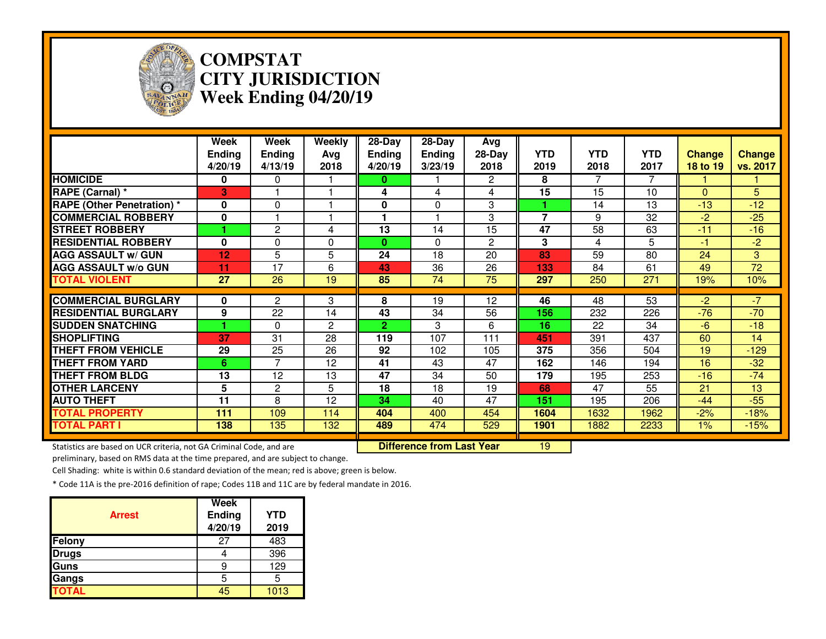

### **COMPSTAT CITY JURISDICTIONWeek Ending 04/20/19**

|                                                                     | Week<br><b>Ending</b><br>4/20/19 | Week<br><b>Ending</b><br>4/13/19 | Weekly<br>Avg<br>2018 | 28-Day<br><b>Ending</b><br>4/20/19 | 28-Day<br><b>Ending</b><br>3/23/19 | Avg<br>$28-Day$<br>2018 | <b>YTD</b><br>2019 | <b>YTD</b><br>2018 | <b>YTD</b><br>2017 | <b>Change</b><br>18 to 19 | <b>Change</b><br>vs. 2017 |
|---------------------------------------------------------------------|----------------------------------|----------------------------------|-----------------------|------------------------------------|------------------------------------|-------------------------|--------------------|--------------------|--------------------|---------------------------|---------------------------|
| <b>HOMICIDE</b>                                                     | 0                                | 0                                |                       | 0.                                 |                                    | $\overline{2}$          | 8                  | 7                  | 7                  |                           |                           |
| <b>RAPE (Carnal) *</b>                                              | 3                                |                                  |                       | 4                                  | 4                                  | 4                       | 15                 | 15                 | 10                 | $\mathbf{0}$              | 5                         |
| <b>RAPE (Other Penetration)*</b>                                    | $\mathbf{0}$                     | 0                                |                       | 0                                  | 0                                  | 3                       |                    | 14                 | 13                 | $-13$                     | $-12$                     |
| <b>COMMERCIAL ROBBERY</b>                                           | 0                                |                                  |                       | 1                                  |                                    | 3                       | $\overline{7}$     | 9                  | 32                 | $-2$                      | $-25$                     |
| <b>STREET ROBBERY</b>                                               |                                  | 2                                | 4                     | 13                                 | 14                                 | 15                      | 47                 | 58                 | 63                 | $-11$                     | $-16$                     |
| <b>RESIDENTIAL ROBBERY</b>                                          | $\bf{0}$                         | 0                                | 0                     | 0                                  | $\Omega$                           | $\mathbf{2}$            | 3                  | 4                  | 5                  | -1                        | $-2$                      |
| <b>AGG ASSAULT w/ GUN</b>                                           | 12                               | 5                                | 5                     | 24                                 | 18                                 | 20                      | 83                 | 59                 | 80                 | 24                        | 3                         |
| <b>AGG ASSAULT w/o GUN</b>                                          | 11                               | $\overline{17}$                  | 6                     | 43                                 | $\overline{36}$                    | $\overline{26}$         | 133                | 84                 | 61                 | 49                        | $\overline{72}$           |
| <b>TOTAL VIOLENT</b>                                                | 27                               | 26                               | 19                    | 85                                 | 74                                 | 75                      | 297                | 250                | 271                | 19%                       | 10%                       |
| <b>COMMERCIAL BURGLARY</b>                                          | 0                                | 2                                | 3                     | 8                                  | 19                                 | 12                      | 46                 | 48                 | 53                 | $-2$                      | $-7$                      |
| <b>RESIDENTIAL BURGLARY</b>                                         | 9                                | 22                               | 14                    | 43                                 | 34                                 | 56                      | 156                | 232                | 226                | $-76$                     | $-70$                     |
| <b>SUDDEN SNATCHING</b>                                             |                                  | $\mathbf{0}$                     | $\overline{2}$        | $\overline{2}$                     | 3                                  | 6                       | 16                 | 22                 | 34                 | $-6$                      | $-18$                     |
| <b>SHOPLIFTING</b>                                                  | 37                               | 31                               | 28                    | 119                                | 107                                | 111                     | 451                | 391                | 437                | 60                        | 14                        |
| <b>THEFT FROM VEHICLE</b>                                           | 29                               | 25                               | 26                    | 92                                 | 102                                | 105                     | 375                | 356                | 504                | 19                        | $-129$                    |
| <b>THEFT FROM YARD</b>                                              | 6.                               | $\overline{7}$                   | 12                    | 41                                 | 43                                 | 47                      | 162                | 146                | 194                | 16                        | $-32$                     |
| <b>THEFT FROM BLDG</b>                                              | 13                               | 12                               | 13                    | 47                                 | 34                                 | 50                      | 179                | 195                | 253                | $-16$                     | $-74$                     |
| <b>OTHER LARCENY</b>                                                | 5                                | $\overline{c}$                   | 5                     | 18                                 | 18                                 | 19                      | 68                 | 47                 | 55                 | 21                        | 13                        |
| <b>AUTO THEFT</b>                                                   | 11                               | 8                                | 12                    | 34                                 | 40                                 | 47                      | 151                | 195                | 206                | $-44$                     | $-55$                     |
| <b>TOTAL PROPERTY</b>                                               | 111                              | 109                              | 114                   | 404                                | 400                                | 454                     | 1604               | 1632               | 1962               | $-2%$                     | $-18%$                    |
| <b>TOTAL PART I</b>                                                 | 138                              | 135                              | 132                   | 489                                | 474                                | 529                     | 1901               | 1882               | 2233               | $1\%$                     | $-15%$                    |
| Statistics are based on UCR criteria, not GA Criminal Code, and are |                                  |                                  |                       |                                    | <b>Difference from Last Year</b>   |                         | 19                 |                    |                    |                           |                           |

preliminary, based on RMS data at the time prepared, and are subject to change.

Cell Shading: white is within 0.6 standard deviation of the mean; red is above; green is below.

| <b>Arrest</b> | Week<br>Ending<br>4/20/19 | <b>YTD</b><br>2019 |
|---------------|---------------------------|--------------------|
| Felony        | 27                        | 483                |
| <b>Drugs</b>  |                           | 396                |
| Guns          | 9                         | 129                |
| Gangs         | 5                         | 5                  |
| <b>TOTAL</b>  | 45                        | 1013               |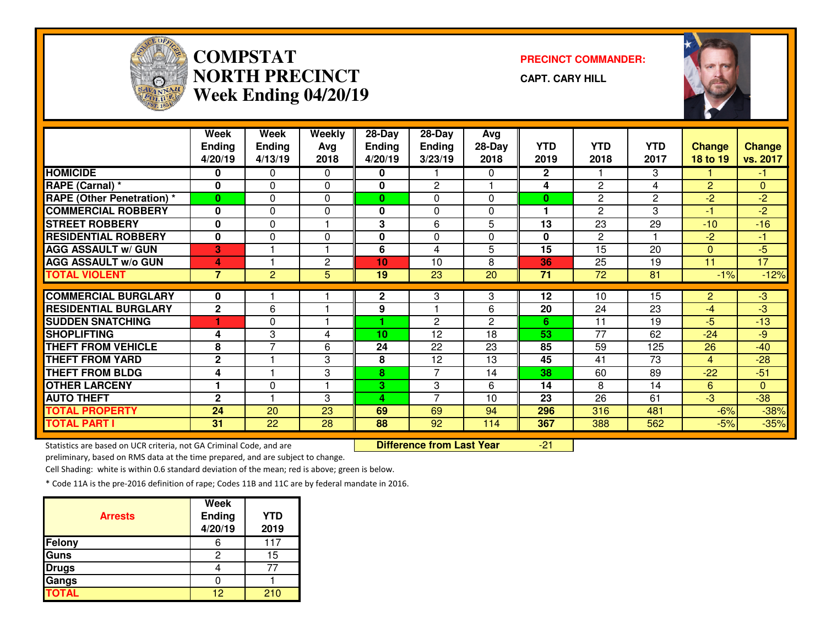

# **COMPSTATNORTH PRECINCTWeek Ending 04/20/19**

**PRECINCT COMMANDER:**

**CAPT. CARY HILL**



|                                   | Week           | Week           | Weekly               | 28-Day          | 28-Day         | Avg          |              |                       |                 |                |               |
|-----------------------------------|----------------|----------------|----------------------|-----------------|----------------|--------------|--------------|-----------------------|-----------------|----------------|---------------|
|                                   | <b>Ending</b>  | <b>Ending</b>  | Avg                  | <b>Ending</b>   | <b>Ending</b>  | $28-Day$     | <b>YTD</b>   | <b>YTD</b>            | <b>YTD</b>      | <b>Change</b>  | <b>Change</b> |
|                                   | 4/20/19        | 4/13/19        | 2018                 | 4/20/19         | 3/23/19        | 2018         | 2019         | 2018                  | 2017            | 18 to 19       | vs. 2017      |
| <b>HOMICIDE</b>                   | 0              | 0              | $\Omega$             | 0               |                | 0            | $\mathbf{2}$ |                       | 3               |                | -1            |
| RAPE (Carnal) *                   | 0              | $\Omega$       | $\Omega$             | 0               | $\overline{2}$ |              | 4            | $\overline{c}$        | 4               | $\overline{2}$ | $\mathbf{0}$  |
| <b>RAPE (Other Penetration) *</b> | $\bf{0}$       | $\Omega$       | $\Omega$             | $\mathbf{0}$    | 0              | 0            | $\bf{0}$     | $\overline{c}$        | $\overline{2}$  | $-2$           | $-2$          |
| <b>COMMERCIAL ROBBERY</b>         | $\mathbf 0$    | 0              | $\Omega$             | 0               | $\Omega$       | 0            |              | $\overline{c}$        | 3               | $-1$           | $-2$          |
| <b>STREET ROBBERY</b>             | $\bf{0}$       | $\Omega$       | $\blacktriangleleft$ | 3               | 6              | 5            | 13           | 23                    | 29              | $-10$          | $-16$         |
| <b>RESIDENTIAL ROBBERY</b>        | $\mathbf 0$    | 0              | 0                    | 0               | 0              | 0            | 0            | $\mathbf{2}^{\prime}$ |                 | $-2$           | -1            |
| <b>AGG ASSAULT w/ GUN</b>         | 3              |                | $\overline{1}$       | 6               | 4              | 5            | 15           | $\overline{15}$       | $\overline{20}$ | $\Omega$       | $-5$          |
| <b>AGG ASSAULT w/o GUN</b>        | 4              |                | 2                    | 10              | 10             | 8            | 36           | 25                    | 19              | 11             | 17            |
| <b>TOTAL VIOLENT</b>              | $\overline{7}$ | $\overline{2}$ | 5                    | 19              | 23             | 20           | 71           | 72                    | 81              | $-1%$          | $-12%$        |
| <b>COMMERCIAL BURGLARY</b>        | 0              |                |                      | $\mathbf{2}$    | 3              | 3            | 12           | 10                    | 15              | $\overline{2}$ | -3            |
| <b>RESIDENTIAL BURGLARY</b>       | $\mathbf{2}$   | 6              |                      | 9               |                | 6            | 20           | 24                    | 23              | -4             | $-3$          |
| <b>SUDDEN SNATCHING</b>           |                | $\Omega$       |                      |                 | $\overline{2}$ | $\mathbf{2}$ | 6            | 11                    | 19              | $-5$           | $-13$         |
| <b>SHOPLIFTING</b>                | 4              | 3              | 4                    | 10 <sub>1</sub> | 12             | 18           | 53           | $\overline{77}$       | 62              | $-24$          | $-9$          |
| <b>THEFT FROM VEHICLE</b>         | 8              | 7              | 6                    | 24              | 22             | 23           | 85           | 59                    | 125             | 26             | $-40$         |
| <b>THEFT FROM YARD</b>            | $\mathbf 2$    |                | 3                    | 8               | 12             | 13           | 45           | 41                    | 73              | 4              | $-28$         |
| <b>THEFT FROM BLDG</b>            | 4              |                | 3                    | 8               | 7              | 14           | 38           | 60                    | 89              | $-22$          | $-51$         |
| <b>OTHER LARCENY</b>              |                | 0              |                      | 3               | 3              | 6            | 14           | 8                     | 14              | 6              | $\mathbf{0}$  |
| <b>AUTO THEFT</b>                 | $\mathbf{2}$   |                | 3                    | 4               | $\overline{7}$ | 10           | 23           | 26                    | 61              | $-3$           | $-38$         |
| <b>TOTAL PROPERTY</b>             | 24             | 20             | 23                   | 69              | 69             | 94           | 296          | 316                   | 481             | $-6%$          | $-38%$        |
| <b>TOTAL PART I</b>               | 31             | 22             | 28                   | 88              | 92             | 114          | 367          | 388                   | 562             | $-5%$          | $-35%$        |
|                                   |                |                |                      |                 |                |              |              |                       |                 |                |               |

Statistics are based on UCR criteria, not GA Criminal Code, and are **Difference from Last Year** 

preliminary, based on RMS data at the time prepared, and are subject to change.

Cell Shading: white is within 0.6 standard deviation of the mean; red is above; green is below.

|                | <b>Week</b>              |                    |
|----------------|--------------------------|--------------------|
| <b>Arrests</b> | <b>Ending</b><br>4/20/19 | <b>YTD</b><br>2019 |
| <b>Felony</b>  |                          | 117                |
| Guns           | 2                        | 15                 |
| <b>Drugs</b>   |                          |                    |
| Gangs          |                          |                    |
| <b>TOTAL</b>   | 12                       | 210                |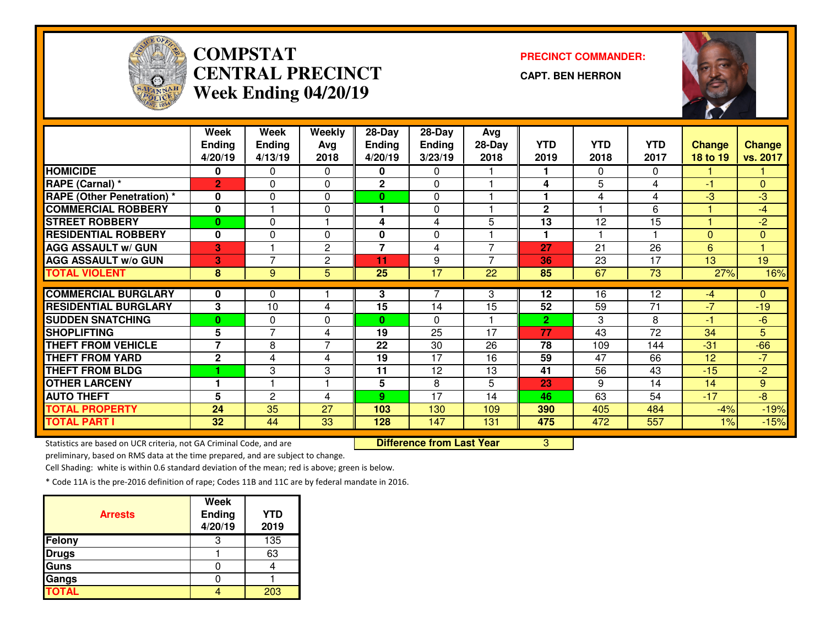

# **COMPSTAT PRECINCT COMMANDER: CENTRAL PRECINCTWeek Ending 04/20/19**

**CAPT. BEN HERRON**



|                                   | Week            | Week           | Weekly         | 28-Day         | 28-Day          | Avg             |                |            |                 |               |                |
|-----------------------------------|-----------------|----------------|----------------|----------------|-----------------|-----------------|----------------|------------|-----------------|---------------|----------------|
|                                   | <b>Ending</b>   | <b>Ending</b>  | Avg            | <b>Ending</b>  | <b>Ending</b>   | $28-Day$        | <b>YTD</b>     | <b>YTD</b> | <b>YTD</b>      | <b>Change</b> | Change         |
|                                   | 4/20/19         | 4/13/19        | 2018           | 4/20/19        | 3/23/19         | 2018            | 2019           | 2018       | 2017            | 18 to 19      | vs. 2017       |
| <b>HOMICIDE</b>                   | 0               | 0              | 0              | 0              | 0               |                 |                | 0          | 0               |               |                |
| RAPE (Carnal) *                   | $\overline{2}$  | $\Omega$       | $\Omega$       | $\mathbf{2}$   | $\Omega$        |                 | 4              | 5          | 4               | -1            | $\Omega$       |
| <b>RAPE (Other Penetration)</b> * | 0               | $\Omega$       | $\Omega$       | 0              | 0               |                 |                | 4          | 4               | $-3$          | $-3$           |
| <b>COMMERCIAL ROBBERY</b>         | 0               |                | 0              | 1              | $\Omega$        |                 | $\mathbf{2}$   | ٠          | 6               |               | $-4$           |
| <b>STREET ROBBERY</b>             | $\bf{0}$        | 0              |                | 4              | 4               | 5               | 13             | 12         | 15              |               | $-2$           |
| <b>RESIDENTIAL ROBBERY</b>        | $\bf{0}$        | $\Omega$       | $\Omega$       | 0              | $\Omega$        |                 | 1              |            | и               | $\Omega$      | $\Omega$       |
| <b>AGG ASSAULT w/ GUN</b>         | 3               |                | $\overline{c}$ | $\overline{7}$ | 4               | $\overline{7}$  | 27             | 21         | 26              | 6             | 1              |
| <b>AGG ASSAULT w/o GUN</b>        | 3               | $\overline{7}$ | $\mathbf{2}$   | 11             | 9               | 7               | 36             | 23         | 17              | 13            | 19             |
| <b>TOTAL VIOLENT</b>              | 8               | 9              | 5              | 25             | $\overline{17}$ | $\overline{22}$ | 85             | 67         | $\overline{73}$ | 27%           | 16%            |
|                                   |                 |                |                |                |                 |                 |                |            |                 |               |                |
| <b>COMMERCIAL BURGLARY</b>        | $\bf{0}$        | $\Omega$       |                | 3              | 7               | 3               | 12             | 16         | 12              | $-4$          | $\Omega$       |
| <b>RESIDENTIAL BURGLARY</b>       | 3               | 10             | 4              | 15             | 14              | 15              | 52             | 59         | 71              | $-7$          | $-19$          |
| <b>SUDDEN SNATCHING</b>           | $\bf{0}$        | 0              | $\Omega$       | 0              | $\Omega$        |                 | $\overline{2}$ | 3          | 8               | -1            | $-6$           |
| <b>SHOPLIFTING</b>                | 5               | 7              | 4              | 19             | 25              | 17              | 77             | 43         | 72              | 34            | $\overline{5}$ |
| <b>THEFT FROM VEHICLE</b>         | $\overline{7}$  | 8              | $\overline{7}$ | 22             | 30              | 26              | 78             | 109        | 144             | $-31$         | $-66$          |
| <b>THEFT FROM YARD</b>            | $\mathbf{2}$    | 4              | 4              | 19             | 17              | 16              | 59             | 47         | 66              | 12            | $-7$           |
| <b>THEFT FROM BLDG</b>            |                 | 3              | 3              | 11             | 12              | 13              | 41             | 56         | 43              | $-15$         | $-2$           |
| <b>OTHER LARCENY</b>              |                 |                |                | 5              | 8               | 5               | 23             | 9          | 14              | 14            | 9              |
| <b>AUTO THEFT</b>                 | 5               | 2              | 4              | 9              | 17              | 14              | 46             | 63         | 54              | $-17$         | $-8$           |
| <b>TOTAL PROPERTY</b>             | 24              | 35             | 27             | 103            | 130             | 109             | 390            | 405        | 484             | $-4%$         | $-19%$         |
| <b>TOTAL PART I</b>               | 32 <sub>2</sub> | 44             | 33             | 128            | 147             | 131             | 475            | 472        | 557             | 1%            | $-15%$         |

Statistics are based on UCR criteria, not GA Criminal Code, and are **Difference from Last Year** 

<sup>3</sup>

preliminary, based on RMS data at the time prepared, and are subject to change.

Cell Shading: white is within 0.6 standard deviation of the mean; red is above; green is below.

| <b>Arrests</b> | <b>Week</b><br>Ending<br>4/20/19 | <b>YTD</b><br>2019 |
|----------------|----------------------------------|--------------------|
| Felony         | З                                | 135                |
| <b>Drugs</b>   |                                  | 63                 |
| Guns           |                                  |                    |
| Gangs          |                                  |                    |
| <b>TOTAL</b>   |                                  | 203                |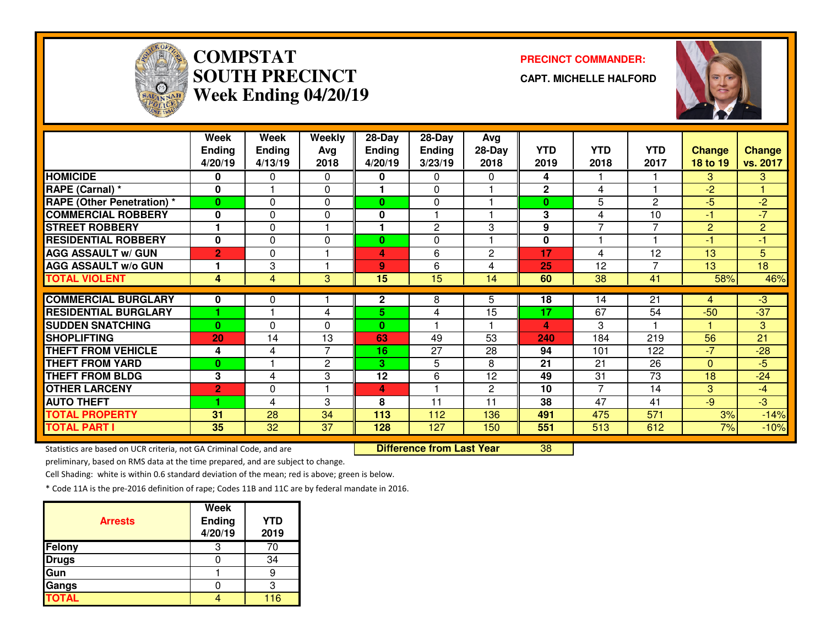

# **COMPSTATSOUTH PRECINCTWeek Ending 04/20/19**

**PRECINCT COMMANDER:**

**CAPT. MICHELLE HALFORD**



|                                   | Week           | Week           | Weekly         | 28-Day        | 28-Day          | Avg             |             |                          |                |                |                |
|-----------------------------------|----------------|----------------|----------------|---------------|-----------------|-----------------|-------------|--------------------------|----------------|----------------|----------------|
|                                   | <b>Ending</b>  | <b>Ending</b>  | Avg            | <b>Ending</b> | <b>Ending</b>   | 28-Day          | <b>YTD</b>  | <b>YTD</b>               | <b>YTD</b>     | <b>Change</b>  | <b>Change</b>  |
|                                   | 4/20/19        | 4/13/19        | 2018           | 4/20/19       | 3/23/19         | 2018            | 2019        | 2018                     | 2017           | 18 to 19       | vs. 2017       |
| <b>HOMICIDE</b>                   | 0              | 0              | $\bf{0}$       | 0             | 0               | 0               | 4           |                          |                | 3              | 3              |
| RAPE (Carnal) *                   | 0              |                | $\Omega$       |               | $\Omega$        |                 | $\mathbf 2$ | 4                        |                | $-2$           |                |
| <b>RAPE (Other Penetration)</b> * | $\bf{0}$       | 0              | 0              | $\mathbf{0}$  | $\Omega$        |                 | $\bf{0}$    | 5                        | 2              | $-5$           | $-2$           |
| <b>COMMERCIAL ROBBERY</b>         | 0              | 0              | 0              | 0             |                 |                 | 3           | 4                        | 10             | -1             | $-7$           |
| <b>STREET ROBBERY</b>             | 1              | 0              |                |               | $\mathbf{2}$    | 3               | 9           | $\overline{\phantom{0}}$ | 7              | $\overline{2}$ | $\overline{2}$ |
| <b>RESIDENTIAL ROBBERY</b>        | 0              | 0              | $\Omega$       | $\bf{0}$      | $\Omega$        |                 | 0           |                          |                | -1             | $-1$           |
| <b>AGG ASSAULT w/ GUN</b>         | $\overline{2}$ | 0              |                | 4             | 6               | $\overline{2}$  | 17          | 4                        | 12             | 13             | 5              |
| <b>AGG ASSAULT w/o GUN</b>        | 1              | 3              |                | 9             | 6               | 4               | 25          | 12                       | $\overline{7}$ | 13             | 18             |
| <b>TOTAL VIOLENT</b>              | 4              | $\overline{4}$ | 3              | 15            | $\overline{15}$ | 14              | 60          | 38                       | 41             | 58%            | 46%            |
|                                   |                |                |                |               |                 |                 |             |                          |                |                |                |
| <b>COMMERCIAL BURGLARY</b>        | 0              | 0              |                | $\mathbf{2}$  | 8               | 5               | 18          | 14                       | 21             | 4              | $-3$           |
| <b>RESIDENTIAL BURGLARY</b>       |                |                | 4              | 5.            | 4               | $\overline{15}$ | 17          | 67                       | 54             | $-50$          | $-37$          |
| <b>SUDDEN SNATCHING</b>           | $\bf{0}$       | 0              | $\Omega$       | $\bf{0}$      |                 |                 | 4           | 3                        |                |                | 3              |
| <b>SHOPLIFTING</b>                | 20             | 14             | 13             | 63            | 49              | 53              | 240         | 184                      | 219            | 56             | 21             |
| <b>THEFT FROM VEHICLE</b>         | 4              | 4              | $\overline{7}$ | 16            | 27              | 28              | 94          | 101                      | 122            | $-7$           | $-28$          |
| <b>THEFT FROM YARD</b>            | $\bf{0}$       |                | 2              | З.            | 5               | 8               | 21          | 21                       | 26             | $\Omega$       | $-5$           |
| <b>THEFT FROM BLDG</b>            | 3              | 4              | 3              | 12            | 6               | 12              | 49          | 31                       | 73             | 18             | $-24$          |
| <b>OTHER LARCENY</b>              | $\overline{2}$ | 0              |                | 4             |                 | $\mathbf{2}$    | 10          | 7                        | 14             | 3              | $-4$           |
| <b>AUTO THEFT</b>                 |                | 4              | 3              | 8             | 11              | 11              | 38          | 47                       | 41             | $-9$           | $-3$           |
| <b>TOTAL PROPERTY</b>             | 31             | 28             | 34             | 113           | 112             | 136             | 491         | 475                      | 571            | 3%             | $-14%$         |
| <b>TOTAL PART I</b>               | 35             | 32             | 37             | 128           | 127             | 150             | 551         | 513                      | 612            | 7%             | $-10%$         |

Statistics are based on UCR criteria, not GA Criminal Code, and are **Difference from Last Year** 

<sup>38</sup>

preliminary, based on RMS data at the time prepared, and are subject to change.

Cell Shading: white is within 0.6 standard deviation of the mean; red is above; green is below.

| <b>Arrests</b> | <b>Week</b><br>Ending<br>4/20/19 | <b>YTD</b><br>2019 |
|----------------|----------------------------------|--------------------|
| Felony         | З                                | 70                 |
| <b>Drugs</b>   |                                  | 34                 |
| Gun            |                                  |                    |
| Gangs          |                                  |                    |
| <b>TOTAL</b>   |                                  | 116                |